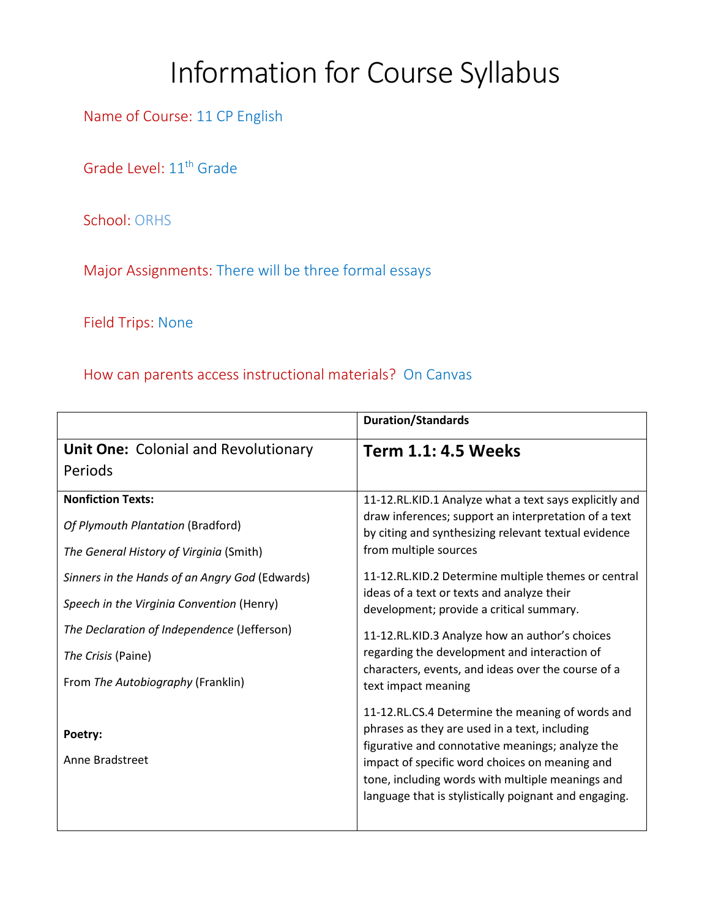## Information for Course Syllabus

Name of Course: 11 CP English

Grade Level: 11<sup>th</sup> Grade

School: ORHS

Major Assignments: There will be three formal essays

Field Trips: None

How can parents access instructional materials? On Canvas

|                                                | <b>Duration/Standards</b>                                                                                                                                   |
|------------------------------------------------|-------------------------------------------------------------------------------------------------------------------------------------------------------------|
| <b>Unit One: Colonial and Revolutionary</b>    | <b>Term 1.1: 4.5 Weeks</b>                                                                                                                                  |
| Periods                                        |                                                                                                                                                             |
| <b>Nonfiction Texts:</b>                       | 11-12.RL.KID.1 Analyze what a text says explicitly and                                                                                                      |
| Of Plymouth Plantation (Bradford)              | draw inferences; support an interpretation of a text<br>by citing and synthesizing relevant textual evidence                                                |
| The General History of Virginia (Smith)        | from multiple sources                                                                                                                                       |
| Sinners in the Hands of an Angry God (Edwards) | 11-12.RL.KID.2 Determine multiple themes or central<br>ideas of a text or texts and analyze their                                                           |
| Speech in the Virginia Convention (Henry)      | development; provide a critical summary.                                                                                                                    |
| The Declaration of Independence (Jefferson)    | 11-12.RL.KID.3 Analyze how an author's choices                                                                                                              |
| The Crisis (Paine)                             | regarding the development and interaction of                                                                                                                |
| From The Autobiography (Franklin)              | characters, events, and ideas over the course of a<br>text impact meaning                                                                                   |
|                                                | 11-12.RL.CS.4 Determine the meaning of words and                                                                                                            |
| Poetry:                                        | phrases as they are used in a text, including<br>figurative and connotative meanings; analyze the                                                           |
| Anne Bradstreet                                | impact of specific word choices on meaning and<br>tone, including words with multiple meanings and<br>language that is stylistically poignant and engaging. |
|                                                |                                                                                                                                                             |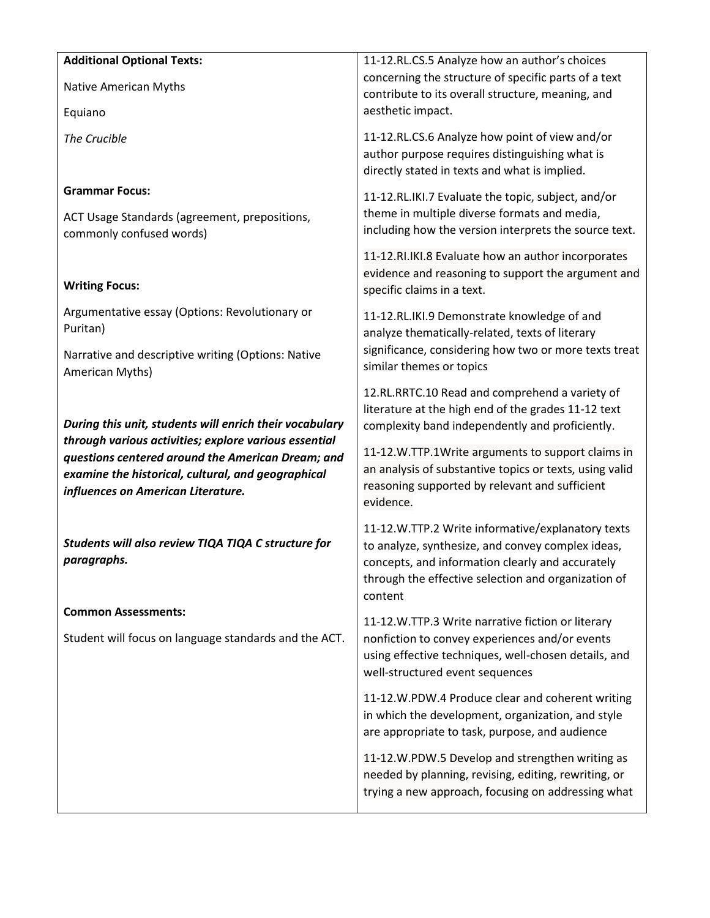| <b>Additional Optional Texts:</b>                                         | 11-12.RL.CS.5 Analyze how an author's choices                                                              |
|---------------------------------------------------------------------------|------------------------------------------------------------------------------------------------------------|
| Native American Myths                                                     | concerning the structure of specific parts of a text                                                       |
|                                                                           | contribute to its overall structure, meaning, and<br>aesthetic impact.                                     |
| Equiano                                                                   |                                                                                                            |
| The Crucible                                                              | 11-12.RL.CS.6 Analyze how point of view and/or                                                             |
|                                                                           | author purpose requires distinguishing what is<br>directly stated in texts and what is implied.            |
| <b>Grammar Focus:</b>                                                     |                                                                                                            |
|                                                                           | 11-12.RL.IKI.7 Evaluate the topic, subject, and/or<br>theme in multiple diverse formats and media,         |
| ACT Usage Standards (agreement, prepositions,<br>commonly confused words) | including how the version interprets the source text.                                                      |
|                                                                           | 11-12.RI.IKI.8 Evaluate how an author incorporates                                                         |
|                                                                           | evidence and reasoning to support the argument and                                                         |
| <b>Writing Focus:</b>                                                     | specific claims in a text.                                                                                 |
| Argumentative essay (Options: Revolutionary or                            | 11-12.RL.IKI.9 Demonstrate knowledge of and                                                                |
| Puritan)                                                                  | analyze thematically-related, texts of literary                                                            |
| Narrative and descriptive writing (Options: Native                        | significance, considering how two or more texts treat                                                      |
| American Myths)                                                           | similar themes or topics                                                                                   |
|                                                                           | 12.RL.RRTC.10 Read and comprehend a variety of                                                             |
| During this unit, students will enrich their vocabulary                   | literature at the high end of the grades 11-12 text<br>complexity band independently and proficiently.     |
| through various activities; explore various essential                     |                                                                                                            |
| questions centered around the American Dream; and                         | 11-12.W.TTP.1Write arguments to support claims in                                                          |
| examine the historical, cultural, and geographical                        | an analysis of substantive topics or texts, using valid<br>reasoning supported by relevant and sufficient  |
| influences on American Literature.                                        | evidence.                                                                                                  |
|                                                                           | 11-12.W.TTP.2 Write informative/explanatory texts                                                          |
| Students will also review TIQA TIQA C structure for                       | to analyze, synthesize, and convey complex ideas,                                                          |
| paragraphs.                                                               | concepts, and information clearly and accurately                                                           |
|                                                                           | through the effective selection and organization of<br>content                                             |
| <b>Common Assessments:</b>                                                |                                                                                                            |
| Student will focus on language standards and the ACT.                     | 11-12.W.TTP.3 Write narrative fiction or literary<br>nonfiction to convey experiences and/or events        |
|                                                                           | using effective techniques, well-chosen details, and                                                       |
|                                                                           | well-structured event sequences                                                                            |
|                                                                           | 11-12.W.PDW.4 Produce clear and coherent writing                                                           |
|                                                                           | in which the development, organization, and style                                                          |
|                                                                           | are appropriate to task, purpose, and audience                                                             |
|                                                                           | 11-12.W.PDW.5 Develop and strengthen writing as                                                            |
|                                                                           | needed by planning, revising, editing, rewriting, or<br>trying a new approach, focusing on addressing what |
|                                                                           |                                                                                                            |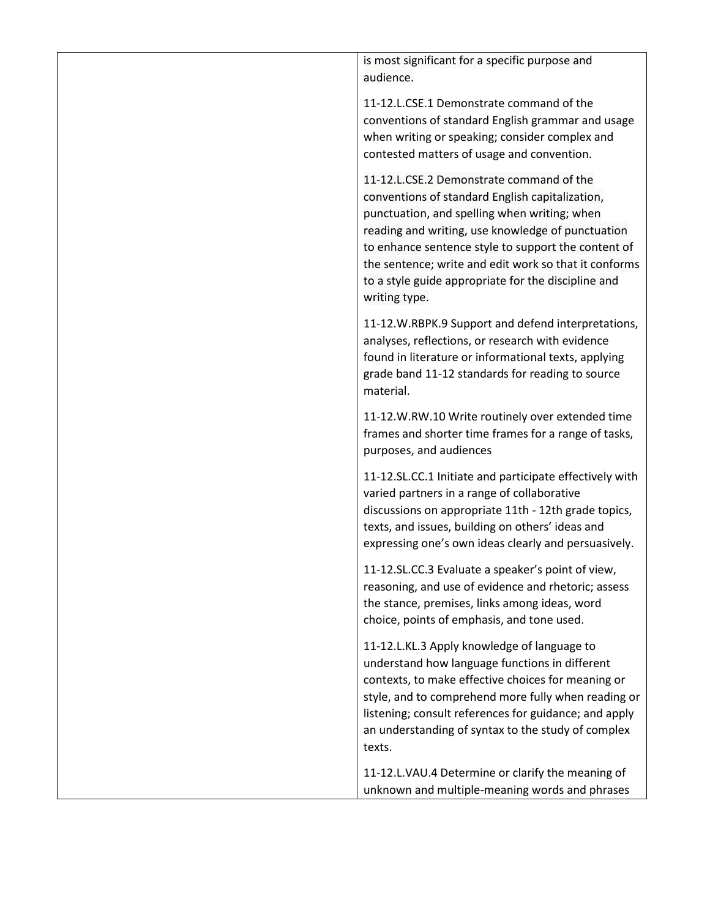is most significant for a specific purpose and audience. 11-12.L.CSE.1 Demonstrate command of the

conventions of standard English grammar and usage when writing or speaking; consider complex and contested matters of usage and convention.

11-12.L.CSE.2 Demonstrate command of the conventions of standard English capitalization, punctuation, and spelling when writing; when reading and writing, use knowledge of punctuation to enhance sentence style to support the content of the sentence; write and edit work so that it conforms to a style guide appropriate for the discipline and writing type.

11-12.W.RBPK.9 Support and defend interpretations, analyses, reflections, or research with evidence found in literature or informational texts, applying grade band 11-12 standards for reading to source material.

11-12.W.RW.10 Write routinely over extended time frames and shorter time frames for a range of tasks, purposes, and audiences

11-12.SL.CC.1 Initiate and participate effectively with varied partners in a range of collaborative discussions on appropriate 11th - 12th grade topics, texts, and issues, building on others' ideas and expressing one's own ideas clearly and persuasively.

11-12.SL.CC.3 Evaluate a speaker's point of view, reasoning, and use of evidence and rhetoric; assess the stance, premises, links among ideas, word choice, points of emphasis, and tone used.

11-12.L.KL.3 Apply knowledge of language to understand how language functions in different contexts, to make effective choices for meaning or style, and to comprehend more fully when reading or listening; consult references for guidance; and apply an understanding of syntax to the study of complex texts.

11-12.L.VAU.4 Determine or clarify the meaning of unknown and multiple-meaning words and phrases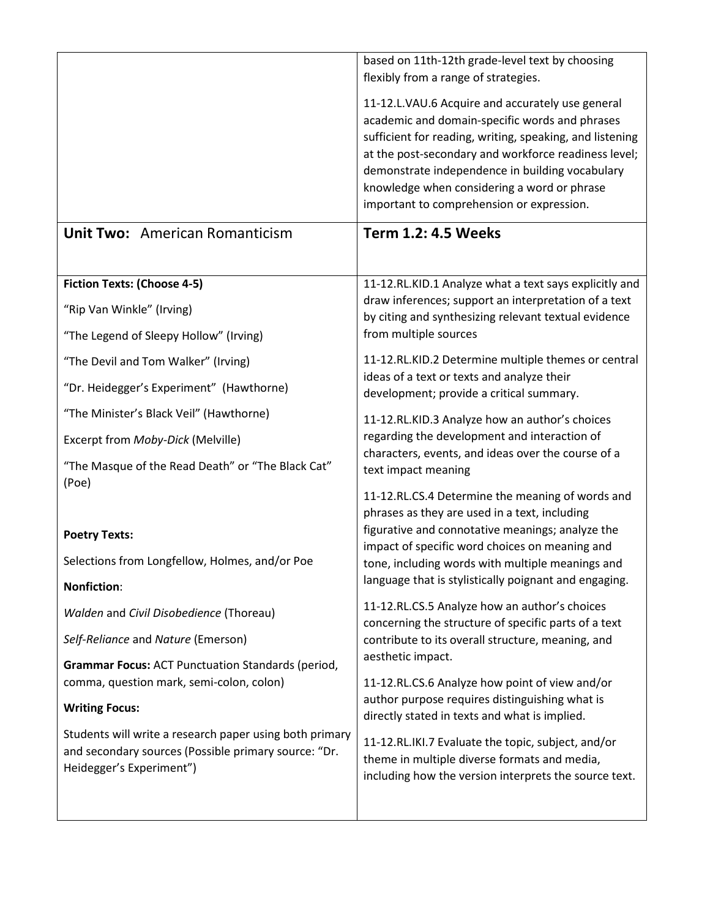|                                                                                                                                             | based on 11th-12th grade-level text by choosing<br>flexibly from a range of strategies.                                                                                                                                                                                                                                                                               |
|---------------------------------------------------------------------------------------------------------------------------------------------|-----------------------------------------------------------------------------------------------------------------------------------------------------------------------------------------------------------------------------------------------------------------------------------------------------------------------------------------------------------------------|
|                                                                                                                                             | 11-12.L.VAU.6 Acquire and accurately use general<br>academic and domain-specific words and phrases<br>sufficient for reading, writing, speaking, and listening<br>at the post-secondary and workforce readiness level;<br>demonstrate independence in building vocabulary<br>knowledge when considering a word or phrase<br>important to comprehension or expression. |
| <b>Unit Two: American Romanticism</b>                                                                                                       | <b>Term 1.2: 4.5 Weeks</b>                                                                                                                                                                                                                                                                                                                                            |
| <b>Fiction Texts: (Choose 4-5)</b>                                                                                                          | 11-12.RL.KID.1 Analyze what a text says explicitly and                                                                                                                                                                                                                                                                                                                |
| "Rip Van Winkle" (Irving)                                                                                                                   | draw inferences; support an interpretation of a text<br>by citing and synthesizing relevant textual evidence                                                                                                                                                                                                                                                          |
| "The Legend of Sleepy Hollow" (Irving)                                                                                                      | from multiple sources                                                                                                                                                                                                                                                                                                                                                 |
| "The Devil and Tom Walker" (Irving)                                                                                                         | 11-12.RL.KID.2 Determine multiple themes or central                                                                                                                                                                                                                                                                                                                   |
| "Dr. Heidegger's Experiment" (Hawthorne)                                                                                                    | ideas of a text or texts and analyze their<br>development; provide a critical summary.                                                                                                                                                                                                                                                                                |
| "The Minister's Black Veil" (Hawthorne)                                                                                                     | 11-12.RL.KID.3 Analyze how an author's choices                                                                                                                                                                                                                                                                                                                        |
| Excerpt from Moby-Dick (Melville)                                                                                                           | regarding the development and interaction of                                                                                                                                                                                                                                                                                                                          |
| "The Masque of the Read Death" or "The Black Cat"<br>(Poe)                                                                                  | characters, events, and ideas over the course of a<br>text impact meaning                                                                                                                                                                                                                                                                                             |
|                                                                                                                                             | 11-12.RL.CS.4 Determine the meaning of words and<br>phrases as they are used in a text, including                                                                                                                                                                                                                                                                     |
| <b>Poetry Texts:</b>                                                                                                                        | figurative and connotative meanings; analyze the<br>impact of specific word choices on meaning and                                                                                                                                                                                                                                                                    |
| Selections from Longfellow, Holmes, and/or Poe                                                                                              | tone, including words with multiple meanings and<br>language that is stylistically poignant and engaging.                                                                                                                                                                                                                                                             |
| <b>Nonfiction:</b>                                                                                                                          |                                                                                                                                                                                                                                                                                                                                                                       |
| Walden and Civil Disobedience (Thoreau)                                                                                                     | 11-12.RL.CS.5 Analyze how an author's choices<br>concerning the structure of specific parts of a text                                                                                                                                                                                                                                                                 |
| Self-Reliance and Nature (Emerson)                                                                                                          | contribute to its overall structure, meaning, and<br>aesthetic impact.                                                                                                                                                                                                                                                                                                |
| <b>Grammar Focus: ACT Punctuation Standards (period,</b><br>comma, question mark, semi-colon, colon)                                        | 11-12.RL.CS.6 Analyze how point of view and/or                                                                                                                                                                                                                                                                                                                        |
| <b>Writing Focus:</b>                                                                                                                       | author purpose requires distinguishing what is<br>directly stated in texts and what is implied.                                                                                                                                                                                                                                                                       |
| Students will write a research paper using both primary<br>and secondary sources (Possible primary source: "Dr.<br>Heidegger's Experiment") | 11-12.RL.IKI.7 Evaluate the topic, subject, and/or<br>theme in multiple diverse formats and media,<br>including how the version interprets the source text.                                                                                                                                                                                                           |
|                                                                                                                                             |                                                                                                                                                                                                                                                                                                                                                                       |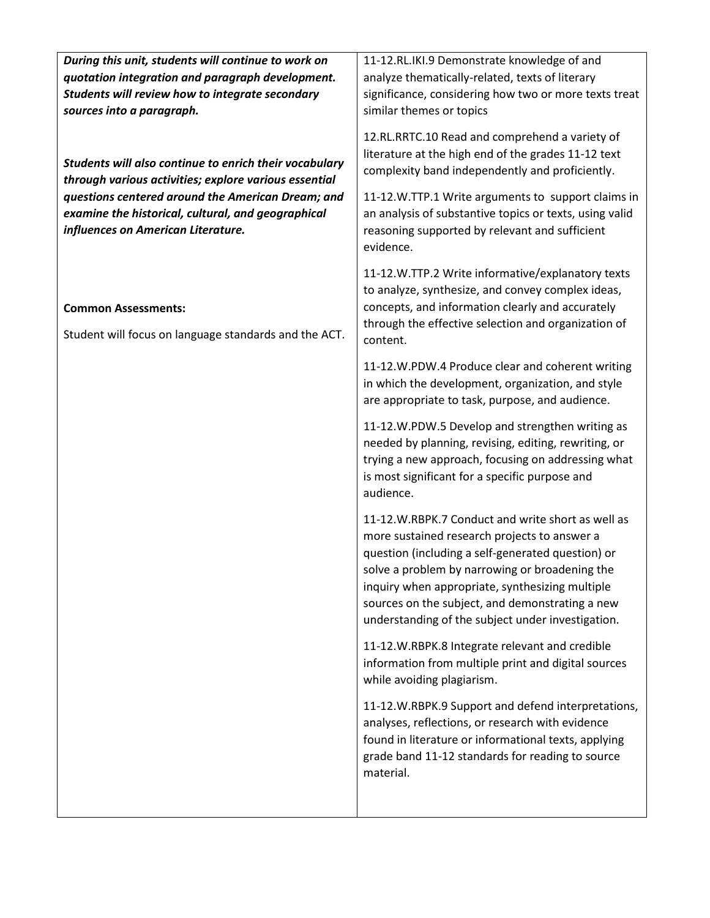| During this unit, students will continue to work on                                                                                           | 11-12.RL.IKI.9 Demonstrate knowledge of and                                                                                                                                                                                                                                                                                                                         |
|-----------------------------------------------------------------------------------------------------------------------------------------------|---------------------------------------------------------------------------------------------------------------------------------------------------------------------------------------------------------------------------------------------------------------------------------------------------------------------------------------------------------------------|
| quotation integration and paragraph development.                                                                                              | analyze thematically-related, texts of literary                                                                                                                                                                                                                                                                                                                     |
| Students will review how to integrate secondary                                                                                               | significance, considering how two or more texts treat                                                                                                                                                                                                                                                                                                               |
| sources into a paragraph.                                                                                                                     | similar themes or topics                                                                                                                                                                                                                                                                                                                                            |
| Students will also continue to enrich their vocabulary<br>through various activities; explore various essential                               | 12.RL.RRTC.10 Read and comprehend a variety of<br>literature at the high end of the grades 11-12 text<br>complexity band independently and proficiently.                                                                                                                                                                                                            |
| questions centered around the American Dream; and<br>examine the historical, cultural, and geographical<br>influences on American Literature. | 11-12.W.TTP.1 Write arguments to support claims in<br>an analysis of substantive topics or texts, using valid<br>reasoning supported by relevant and sufficient<br>evidence.                                                                                                                                                                                        |
| <b>Common Assessments:</b><br>Student will focus on language standards and the ACT.                                                           | 11-12.W.TTP.2 Write informative/explanatory texts<br>to analyze, synthesize, and convey complex ideas,<br>concepts, and information clearly and accurately<br>through the effective selection and organization of<br>content.                                                                                                                                       |
|                                                                                                                                               | 11-12.W.PDW.4 Produce clear and coherent writing<br>in which the development, organization, and style<br>are appropriate to task, purpose, and audience.                                                                                                                                                                                                            |
|                                                                                                                                               | 11-12.W.PDW.5 Develop and strengthen writing as<br>needed by planning, revising, editing, rewriting, or<br>trying a new approach, focusing on addressing what<br>is most significant for a specific purpose and<br>audience.                                                                                                                                        |
|                                                                                                                                               | 11-12.W.RBPK.7 Conduct and write short as well as<br>more sustained research projects to answer a<br>question (including a self-generated question) or<br>solve a problem by narrowing or broadening the<br>inquiry when appropriate, synthesizing multiple<br>sources on the subject, and demonstrating a new<br>understanding of the subject under investigation. |
|                                                                                                                                               | 11-12.W.RBPK.8 Integrate relevant and credible<br>information from multiple print and digital sources<br>while avoiding plagiarism.                                                                                                                                                                                                                                 |
|                                                                                                                                               | 11-12.W.RBPK.9 Support and defend interpretations,<br>analyses, reflections, or research with evidence<br>found in literature or informational texts, applying<br>grade band 11-12 standards for reading to source<br>material.                                                                                                                                     |
|                                                                                                                                               |                                                                                                                                                                                                                                                                                                                                                                     |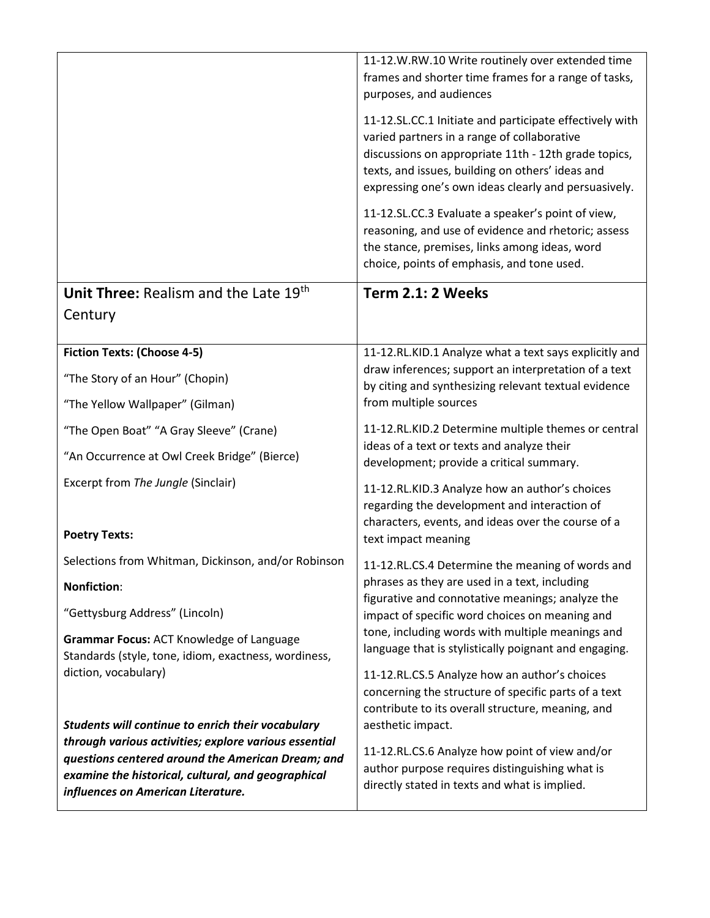|                                                                                                                                                                                                        | 11-12.W.RW.10 Write routinely over extended time<br>frames and shorter time frames for a range of tasks,<br>purposes, and audiences                                                                                                                                        |
|--------------------------------------------------------------------------------------------------------------------------------------------------------------------------------------------------------|----------------------------------------------------------------------------------------------------------------------------------------------------------------------------------------------------------------------------------------------------------------------------|
|                                                                                                                                                                                                        | 11-12.SL.CC.1 Initiate and participate effectively with<br>varied partners in a range of collaborative<br>discussions on appropriate 11th - 12th grade topics,<br>texts, and issues, building on others' ideas and<br>expressing one's own ideas clearly and persuasively. |
|                                                                                                                                                                                                        | 11-12.SL.CC.3 Evaluate a speaker's point of view,<br>reasoning, and use of evidence and rhetoric; assess<br>the stance, premises, links among ideas, word<br>choice, points of emphasis, and tone used.                                                                    |
| Unit Three: Realism and the Late 19th                                                                                                                                                                  | Term 2.1: 2 Weeks                                                                                                                                                                                                                                                          |
| Century                                                                                                                                                                                                |                                                                                                                                                                                                                                                                            |
| <b>Fiction Texts: (Choose 4-5)</b>                                                                                                                                                                     | 11-12.RL.KID.1 Analyze what a text says explicitly and                                                                                                                                                                                                                     |
| "The Story of an Hour" (Chopin)                                                                                                                                                                        | draw inferences; support an interpretation of a text<br>by citing and synthesizing relevant textual evidence                                                                                                                                                               |
| "The Yellow Wallpaper" (Gilman)                                                                                                                                                                        | from multiple sources                                                                                                                                                                                                                                                      |
| "The Open Boat" "A Gray Sleeve" (Crane)                                                                                                                                                                | 11-12.RL.KID.2 Determine multiple themes or central<br>ideas of a text or texts and analyze their                                                                                                                                                                          |
| "An Occurrence at Owl Creek Bridge" (Bierce)                                                                                                                                                           | development; provide a critical summary.                                                                                                                                                                                                                                   |
| Excerpt from The Jungle (Sinclair)                                                                                                                                                                     | 11-12.RL.KID.3 Analyze how an author's choices<br>regarding the development and interaction of<br>characters, events, and ideas over the course of a                                                                                                                       |
| <b>Poetry Texts:</b>                                                                                                                                                                                   | text impact meaning                                                                                                                                                                                                                                                        |
| Selections from Whitman, Dickinson, and/or Robinson                                                                                                                                                    | 11-12.RL.CS.4 Determine the meaning of words and                                                                                                                                                                                                                           |
| <b>Nonfiction:</b>                                                                                                                                                                                     | phrases as they are used in a text, including<br>figurative and connotative meanings; analyze the                                                                                                                                                                          |
| "Gettysburg Address" (Lincoln)                                                                                                                                                                         | impact of specific word choices on meaning and                                                                                                                                                                                                                             |
| Grammar Focus: ACT Knowledge of Language<br>Standards (style, tone, idiom, exactness, wordiness,                                                                                                       | tone, including words with multiple meanings and<br>language that is stylistically poignant and engaging.                                                                                                                                                                  |
| diction, vocabulary)<br>Students will continue to enrich their vocabulary                                                                                                                              | 11-12.RL.CS.5 Analyze how an author's choices<br>concerning the structure of specific parts of a text<br>contribute to its overall structure, meaning, and<br>aesthetic impact.                                                                                            |
| through various activities; explore various essential<br>questions centered around the American Dream; and<br>examine the historical, cultural, and geographical<br>influences on American Literature. | 11-12.RL.CS.6 Analyze how point of view and/or<br>author purpose requires distinguishing what is<br>directly stated in texts and what is implied.                                                                                                                          |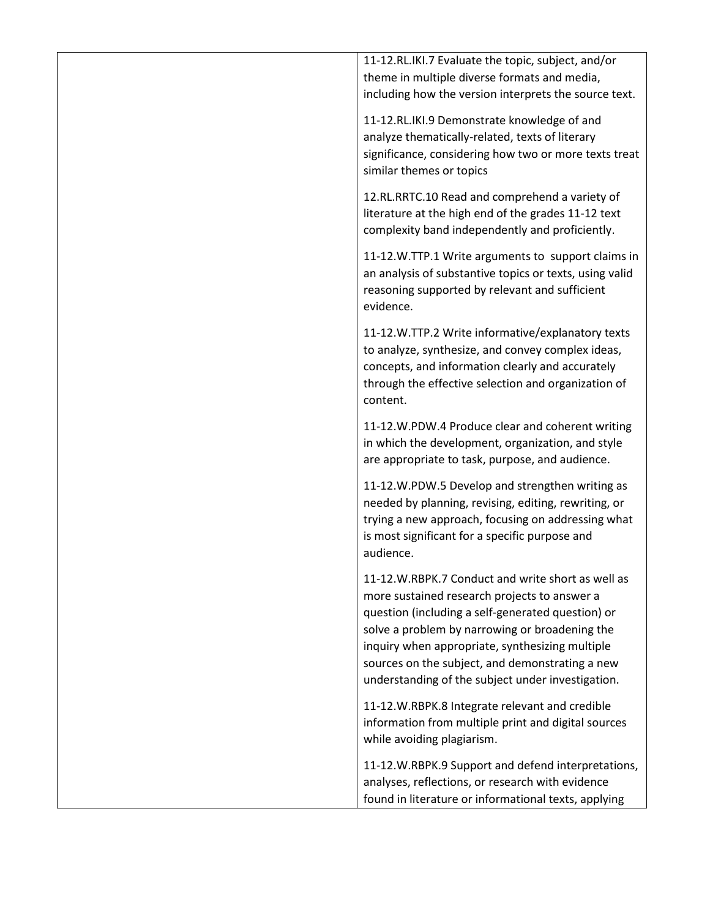11-12.RL.IKI.7 Evaluate the topic, subject, and/or theme in multiple diverse formats and media, including how the version interprets the source text.

11-12.RL.IKI.9 Demonstrate knowledge of and analyze thematically-related, texts of literary significance, considering how two or more texts treat similar themes or topics

12.RL.RRTC.10 Read and comprehend a variety of literature at the high end of the grades 11-12 text complexity band independently and proficiently.

11-12.W.TTP.1 Write arguments to support claims in an analysis of substantive topics or texts, using valid reasoning supported by relevant and sufficient evidence.

11-12.W.TTP.2 Write informative/explanatory texts to analyze, synthesize, and convey complex ideas, concepts, and information clearly and accurately through the effective selection and organization of content.

11-12.W.PDW.4 Produce clear and coherent writing in which the development, organization, and style are appropriate to task, purpose, and audience.

11-12.W.PDW.5 Develop and strengthen writing as needed by planning, revising, editing, rewriting, or trying a new approach, focusing on addressing what is most significant for a specific purpose and audience.

11-12.W.RBPK.7 Conduct and write short as well as more sustained research projects to answer a question (including a self-generated question) or solve a problem by narrowing or broadening the inquiry when appropriate, synthesizing multiple sources on the subject, and demonstrating a new understanding of the subject under investigation.

11-12.W.RBPK.8 Integrate relevant and credible information from multiple print and digital sources while avoiding plagiarism.

11-12.W.RBPK.9 Support and defend interpretations, analyses, reflections, or research with evidence found in literature or informational texts, applying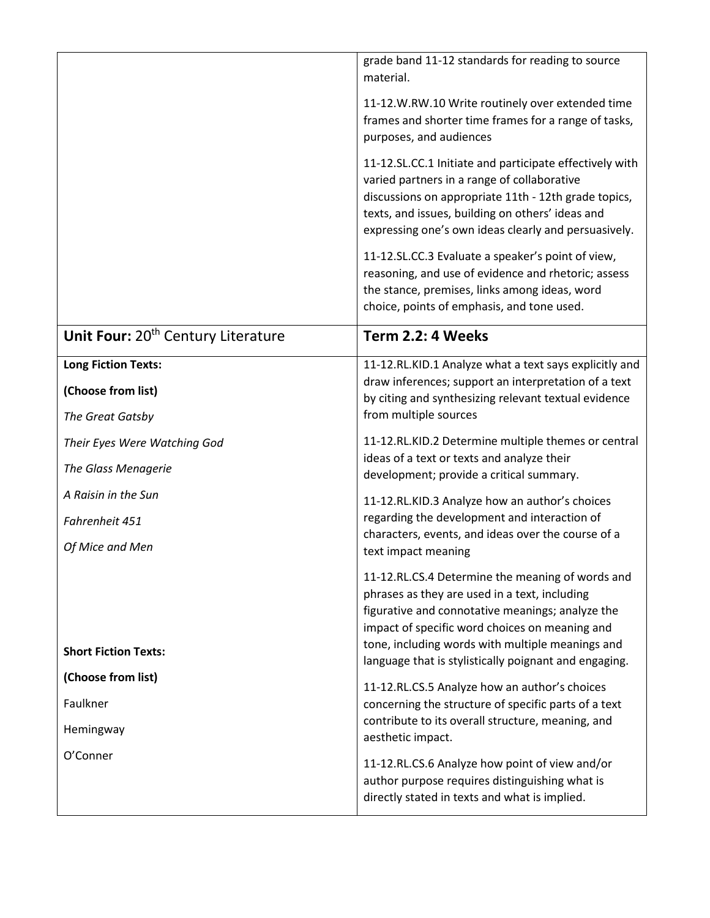|                                                | grade band 11-12 standards for reading to source<br>material.                                                                                                                                                                                                                                                        |
|------------------------------------------------|----------------------------------------------------------------------------------------------------------------------------------------------------------------------------------------------------------------------------------------------------------------------------------------------------------------------|
|                                                | 11-12.W.RW.10 Write routinely over extended time<br>frames and shorter time frames for a range of tasks,<br>purposes, and audiences                                                                                                                                                                                  |
|                                                | 11-12.SL.CC.1 Initiate and participate effectively with<br>varied partners in a range of collaborative<br>discussions on appropriate 11th - 12th grade topics,<br>texts, and issues, building on others' ideas and<br>expressing one's own ideas clearly and persuasively.                                           |
|                                                | 11-12.SL.CC.3 Evaluate a speaker's point of view,<br>reasoning, and use of evidence and rhetoric; assess<br>the stance, premises, links among ideas, word<br>choice, points of emphasis, and tone used.                                                                                                              |
| Unit Four: 20 <sup>th</sup> Century Literature | Term 2.2: 4 Weeks                                                                                                                                                                                                                                                                                                    |
| <b>Long Fiction Texts:</b>                     | 11-12.RL.KID.1 Analyze what a text says explicitly and<br>draw inferences; support an interpretation of a text                                                                                                                                                                                                       |
| (Choose from list)                             | by citing and synthesizing relevant textual evidence                                                                                                                                                                                                                                                                 |
| The Great Gatsby                               | from multiple sources                                                                                                                                                                                                                                                                                                |
| Their Eyes Were Watching God                   | 11-12.RL.KID.2 Determine multiple themes or central<br>ideas of a text or texts and analyze their                                                                                                                                                                                                                    |
| The Glass Menagerie                            | development; provide a critical summary.                                                                                                                                                                                                                                                                             |
| A Raisin in the Sun                            | 11-12.RL.KID.3 Analyze how an author's choices                                                                                                                                                                                                                                                                       |
| Fahrenheit 451                                 | regarding the development and interaction of<br>characters, events, and ideas over the course of a                                                                                                                                                                                                                   |
| Of Mice and Men                                | text impact meaning                                                                                                                                                                                                                                                                                                  |
| <b>Short Fiction Texts:</b>                    | 11-12.RL.CS.4 Determine the meaning of words and<br>phrases as they are used in a text, including<br>figurative and connotative meanings; analyze the<br>impact of specific word choices on meaning and<br>tone, including words with multiple meanings and<br>language that is stylistically poignant and engaging. |
| (Choose from list)                             | 11-12.RL.CS.5 Analyze how an author's choices                                                                                                                                                                                                                                                                        |
| Faulkner                                       | concerning the structure of specific parts of a text<br>contribute to its overall structure, meaning, and                                                                                                                                                                                                            |
| Hemingway                                      | aesthetic impact.                                                                                                                                                                                                                                                                                                    |
| O'Conner                                       | 11-12.RL.CS.6 Analyze how point of view and/or<br>author purpose requires distinguishing what is<br>directly stated in texts and what is implied.                                                                                                                                                                    |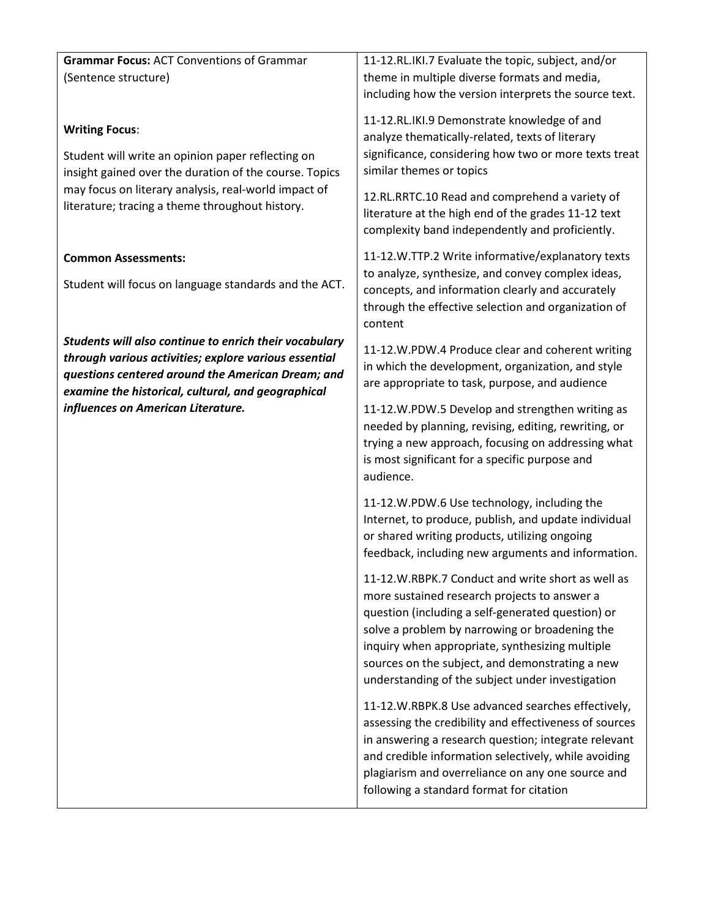| <b>Grammar Focus: ACT Conventions of Grammar</b>                                                                                                                                                                           | 11-12.RL.IKI.7 Evaluate the topic, subject, and/or                                                                                                                                                                                                                                                                                                                 |
|----------------------------------------------------------------------------------------------------------------------------------------------------------------------------------------------------------------------------|--------------------------------------------------------------------------------------------------------------------------------------------------------------------------------------------------------------------------------------------------------------------------------------------------------------------------------------------------------------------|
| (Sentence structure)                                                                                                                                                                                                       | theme in multiple diverse formats and media,                                                                                                                                                                                                                                                                                                                       |
|                                                                                                                                                                                                                            | including how the version interprets the source text.                                                                                                                                                                                                                                                                                                              |
| <b>Writing Focus:</b><br>Student will write an opinion paper reflecting on<br>insight gained over the duration of the course. Topics                                                                                       | 11-12.RL.IKI.9 Demonstrate knowledge of and<br>analyze thematically-related, texts of literary<br>significance, considering how two or more texts treat<br>similar themes or topics                                                                                                                                                                                |
| may focus on literary analysis, real-world impact of<br>literature; tracing a theme throughout history.                                                                                                                    | 12.RL.RRTC.10 Read and comprehend a variety of<br>literature at the high end of the grades 11-12 text<br>complexity band independently and proficiently.                                                                                                                                                                                                           |
| <b>Common Assessments:</b>                                                                                                                                                                                                 | 11-12.W.TTP.2 Write informative/explanatory texts                                                                                                                                                                                                                                                                                                                  |
| Student will focus on language standards and the ACT.                                                                                                                                                                      | to analyze, synthesize, and convey complex ideas,<br>concepts, and information clearly and accurately<br>through the effective selection and organization of<br>content                                                                                                                                                                                            |
| Students will also continue to enrich their vocabulary<br>through various activities; explore various essential<br>questions centered around the American Dream; and<br>examine the historical, cultural, and geographical | 11-12.W.PDW.4 Produce clear and coherent writing<br>in which the development, organization, and style<br>are appropriate to task, purpose, and audience                                                                                                                                                                                                            |
| influences on American Literature.                                                                                                                                                                                         | 11-12.W.PDW.5 Develop and strengthen writing as<br>needed by planning, revising, editing, rewriting, or<br>trying a new approach, focusing on addressing what<br>is most significant for a specific purpose and<br>audience.                                                                                                                                       |
|                                                                                                                                                                                                                            | 11-12.W.PDW.6 Use technology, including the<br>Internet, to produce, publish, and update individual<br>or shared writing products, utilizing ongoing<br>feedback, including new arguments and information.                                                                                                                                                         |
|                                                                                                                                                                                                                            | 11-12.W.RBPK.7 Conduct and write short as well as<br>more sustained research projects to answer a<br>question (including a self-generated question) or<br>solve a problem by narrowing or broadening the<br>inquiry when appropriate, synthesizing multiple<br>sources on the subject, and demonstrating a new<br>understanding of the subject under investigation |
|                                                                                                                                                                                                                            | 11-12. W.RBPK.8 Use advanced searches effectively,<br>assessing the credibility and effectiveness of sources<br>in answering a research question; integrate relevant<br>and credible information selectively, while avoiding<br>plagiarism and overreliance on any one source and<br>following a standard format for citation                                      |